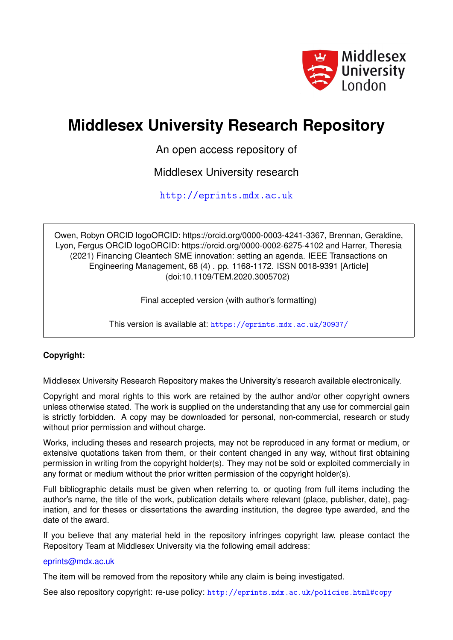

# **Middlesex University Research Repository**

An open access repository of

Middlesex University research

<http://eprints.mdx.ac.uk>

Owen, Robyn ORCID logoORCID: https://orcid.org/0000-0003-4241-3367, Brennan, Geraldine, Lyon, Fergus ORCID logoORCID: https://orcid.org/0000-0002-6275-4102 and Harrer, Theresia (2021) Financing Cleantech SME innovation: setting an agenda. IEEE Transactions on Engineering Management, 68 (4) . pp. 1168-1172. ISSN 0018-9391 [Article] (doi:10.1109/TEM.2020.3005702)

Final accepted version (with author's formatting)

This version is available at: <https://eprints.mdx.ac.uk/30937/>

# **Copyright:**

Middlesex University Research Repository makes the University's research available electronically.

Copyright and moral rights to this work are retained by the author and/or other copyright owners unless otherwise stated. The work is supplied on the understanding that any use for commercial gain is strictly forbidden. A copy may be downloaded for personal, non-commercial, research or study without prior permission and without charge.

Works, including theses and research projects, may not be reproduced in any format or medium, or extensive quotations taken from them, or their content changed in any way, without first obtaining permission in writing from the copyright holder(s). They may not be sold or exploited commercially in any format or medium without the prior written permission of the copyright holder(s).

Full bibliographic details must be given when referring to, or quoting from full items including the author's name, the title of the work, publication details where relevant (place, publisher, date), pagination, and for theses or dissertations the awarding institution, the degree type awarded, and the date of the award.

If you believe that any material held in the repository infringes copyright law, please contact the Repository Team at Middlesex University via the following email address:

## [eprints@mdx.ac.uk](mailto:eprints@mdx.ac.uk)

The item will be removed from the repository while any claim is being investigated.

See also repository copyright: re-use policy: <http://eprints.mdx.ac.uk/policies.html#copy>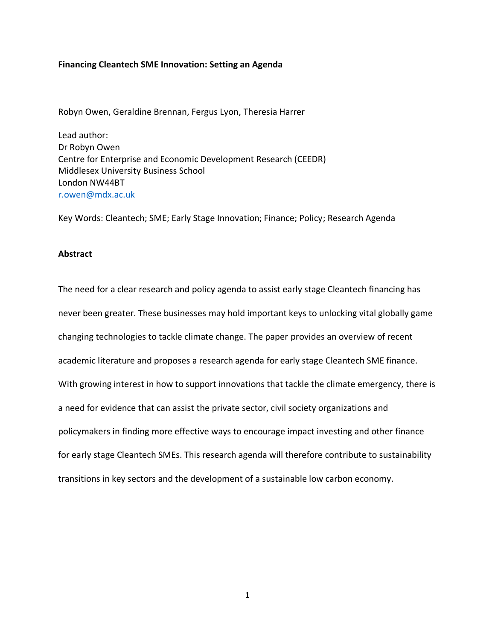#### **Financing Cleantech SME Innovation: Setting an Agenda**

Robyn Owen, Geraldine Brennan, Fergus Lyon, Theresia Harrer

Lead author: Dr Robyn Owen Centre for Enterprise and Economic Development Research (CEEDR) Middlesex University Business School London NW44BT [r.owen@mdx.ac.uk](mailto:r.owen@mdx.ac.uk)

Key Words: Cleantech; SME; Early Stage Innovation; Finance; Policy; Research Agenda

#### **Abstract**

The need for a clear research and policy agenda to assist early stage Cleantech financing has never been greater. These businesses may hold important keys to unlocking vital globally game changing technologies to tackle climate change. The paper provides an overview of recent academic literature and proposes a research agenda for early stage Cleantech SME finance. With growing interest in how to support innovations that tackle the climate emergency, there is a need for evidence that can assist the private sector, civil society organizations and policymakers in finding more effective ways to encourage impact investing and other finance for early stage Cleantech SMEs. This research agenda will therefore contribute to sustainability transitions in key sectors and the development of a sustainable low carbon economy.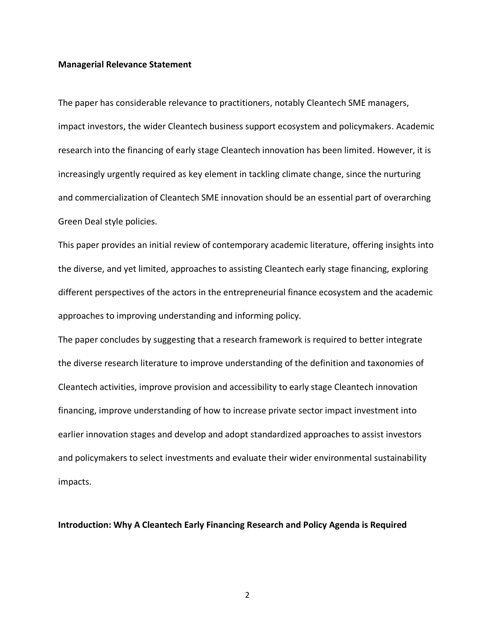#### **Managerial Relevance Statement**

The paper has considerable relevance to practitioners, notably Cleantech SME managers, impact investors, the wider Cleantech business support ecosystem and policymakers. Academic research into the financing of early stage Cleantech innovation has been limited. However, it is increasingly urgently required as key element in tackling climate change, since the nurturing and commercialization of Cleantech SME innovation should be an essential part of overarching Green Deal style policies.

This paper provides an initial review of contemporary academic literature, offering insights into the diverse, and yet limited, approaches to assisting Cleantech early stage financing, exploring different perspectives of the actors in the entrepreneurial finance ecosystem and the academic approaches to improving understanding and informing policy.

The paper concludes by suggesting that a research framework is required to better integrate the diverse research literature to improve understanding of the definition and taxonomies of Cleantech activities, improve provision and accessibility to early stage Cleantech innovation financing, improve understanding of how to increase private sector impact investment into earlier innovation stages and develop and adopt standardized approaches to assist investors and policymakers to select investments and evaluate their wider environmental sustainability impacts.

**Introduction: Why A Cleantech Early Financing Research and Policy Agenda is Required**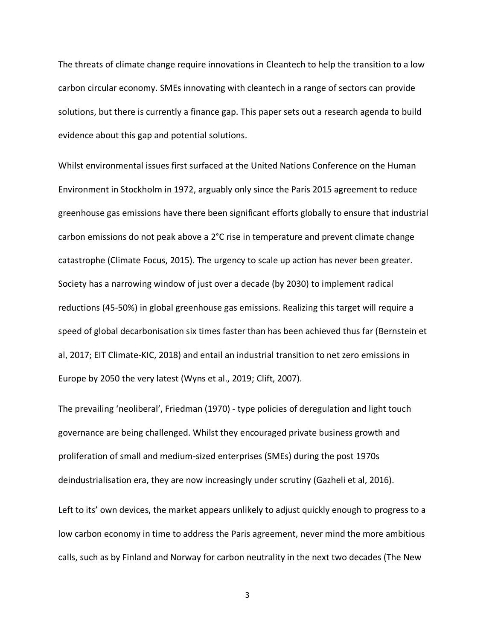The threats of climate change require innovations in Cleantech to help the transition to a low carbon circular economy. SMEs innovating with cleantech in a range of sectors can provide solutions, but there is currently a finance gap. This paper sets out a research agenda to build evidence about this gap and potential solutions.

Whilst environmental issues first surfaced at the United Nations Conference on the Human Environment in Stockholm in 1972, arguably only since the Paris 2015 agreement to reduce greenhouse gas emissions have there been significant efforts globally to ensure that industrial carbon emissions do not peak above a 2°C rise in temperature and prevent climate change catastrophe (Climate Focus, 2015). The urgency to scale up action has never been greater. Society has a narrowing window of just over a decade (by 2030) to implement radical reductions (45-50%) in global greenhouse gas emissions. Realizing this target will require a speed of global decarbonisation six times faster than has been achieved thus far (Bernstein et al, 2017; EIT Climate-KIC, 2018) and entail an industrial transition to net zero emissions in Europe by 2050 the very latest (Wyns et al., 2019; Clift, 2007).

The prevailing 'neoliberal', Friedman (1970) - type policies of deregulation and light touch governance are being challenged. Whilst they encouraged private business growth and proliferation of small and medium-sized enterprises (SMEs) during the post 1970s deindustrialisation era, they are now increasingly under scrutiny (Gazheli et al, 2016).

Left to its' own devices, the market appears unlikely to adjust quickly enough to progress to a low carbon economy in time to address the Paris agreement, never mind the more ambitious calls, such as by Finland and Norway for carbon neutrality in the next two decades (The New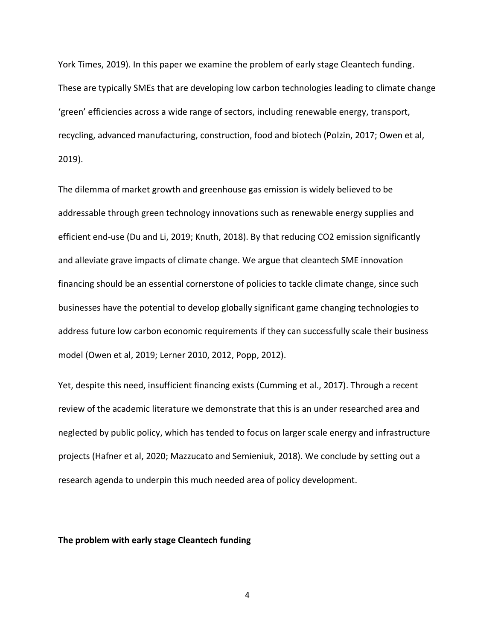York Times, 2019). In this paper we examine the problem of early stage Cleantech funding. These are typically SMEs that are developing low carbon technologies leading to climate change 'green' efficiencies across a wide range of sectors, including renewable energy, transport, recycling, advanced manufacturing, construction, food and biotech (Polzin, 2017; Owen et al, 2019).

The dilemma of market growth and greenhouse gas emission is widely believed to be addressable through green technology innovations such as renewable energy supplies and efficient end-use (Du and Li, 2019; Knuth, 2018). By that reducing CO2 emission significantly and alleviate grave impacts of climate change. We argue that cleantech SME innovation financing should be an essential cornerstone of policies to tackle climate change, since such businesses have the potential to develop globally significant game changing technologies to address future low carbon economic requirements if they can successfully scale their business model (Owen et al, 2019; Lerner 2010, 2012, Popp, 2012).

Yet, despite this need, insufficient financing exists (Cumming et al., 2017). Through a recent review of the academic literature we demonstrate that this is an under researched area and neglected by public policy, which has tended to focus on larger scale energy and infrastructure projects (Hafner et al, 2020; Mazzucato and Semieniuk, 2018). We conclude by setting out a research agenda to underpin this much needed area of policy development.

#### **The problem with early stage Cleantech funding**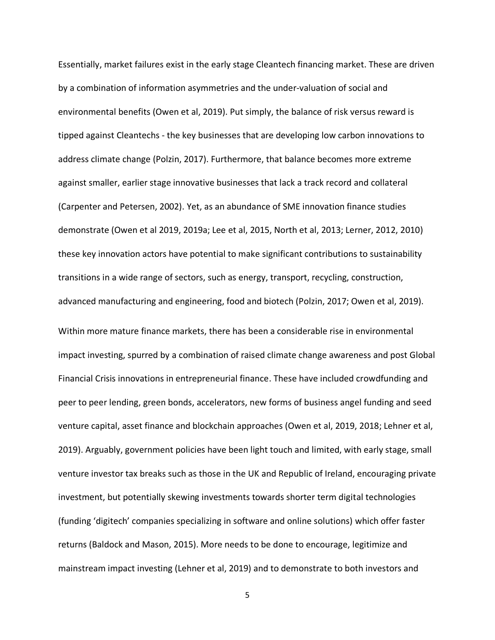Essentially, market failures exist in the early stage Cleantech financing market. These are driven by a combination of information asymmetries and the under-valuation of social and environmental benefits (Owen et al, 2019). Put simply, the balance of risk versus reward is tipped against Cleantechs - the key businesses that are developing low carbon innovations to address climate change (Polzin, 2017). Furthermore, that balance becomes more extreme against smaller, earlier stage innovative businesses that lack a track record and collateral (Carpenter and Petersen, 2002). Yet, as an abundance of SME innovation finance studies demonstrate (Owen et al 2019, 2019a; Lee et al, 2015, North et al, 2013; Lerner, 2012, 2010) these key innovation actors have potential to make significant contributions to sustainability transitions in a wide range of sectors, such as energy, transport, recycling, construction, advanced manufacturing and engineering, food and biotech (Polzin, 2017; Owen et al, 2019). Within more mature finance markets, there has been a considerable rise in environmental impact investing, spurred by a combination of raised climate change awareness and post Global Financial Crisis innovations in entrepreneurial finance. These have included crowdfunding and peer to peer lending, green bonds, accelerators, new forms of business angel funding and seed venture capital, asset finance and blockchain approaches (Owen et al, 2019, 2018; Lehner et al, 2019). Arguably, government policies have been light touch and limited, with early stage, small venture investor tax breaks such as those in the UK and Republic of Ireland, encouraging private investment, but potentially skewing investments towards shorter term digital technologies (funding 'digitech' companies specializing in software and online solutions) which offer faster returns (Baldock and Mason, 2015). More needs to be done to encourage, legitimize and

5

mainstream impact investing (Lehner et al, 2019) and to demonstrate to both investors and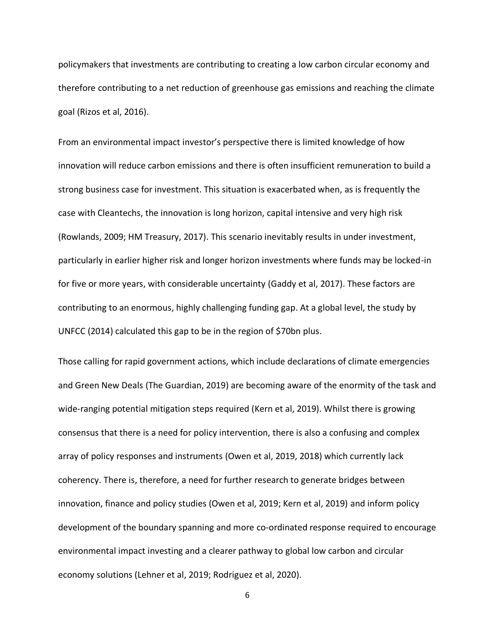policymakers that investments are contributing to creating a low carbon circular economy and therefore contributing to a net reduction of greenhouse gas emissions and reaching the climate goal (Rizos et al, 2016).

From an environmental impact investor's perspective there is limited knowledge of how innovation will reduce carbon emissions and there is often insufficient remuneration to build a strong business case for investment. This situation is exacerbated when, as is frequently the case with Cleantechs, the innovation is long horizon, capital intensive and very high risk (Rowlands, 2009; HM Treasury, 2017). This scenario inevitably results in under investment, particularly in earlier higher risk and longer horizon investments where funds may be locked-in for five or more years, with considerable uncertainty (Gaddy et al, 2017). These factors are contributing to an enormous, highly challenging funding gap. At a global level, the study by UNFCC (2014) calculated this gap to be in the region of \$70bn plus.

Those calling for rapid government actions, which include declarations of climate emergencies and Green New Deals (The Guardian, 2019) are becoming aware of the enormity of the task and wide-ranging potential mitigation steps required (Kern et al, 2019). Whilst there is growing consensus that there is a need for policy intervention, there is also a confusing and complex array of policy responses and instruments (Owen et al, 2019, 2018) which currently lack coherency. There is, therefore, a need for further research to generate bridges between innovation, finance and policy studies (Owen et al, 2019; Kern et al, 2019) and inform policy development of the boundary spanning and more co-ordinated response required to encourage environmental impact investing and a clearer pathway to global low carbon and circular economy solutions (Lehner et al, 2019; Rodriguez et al, 2020).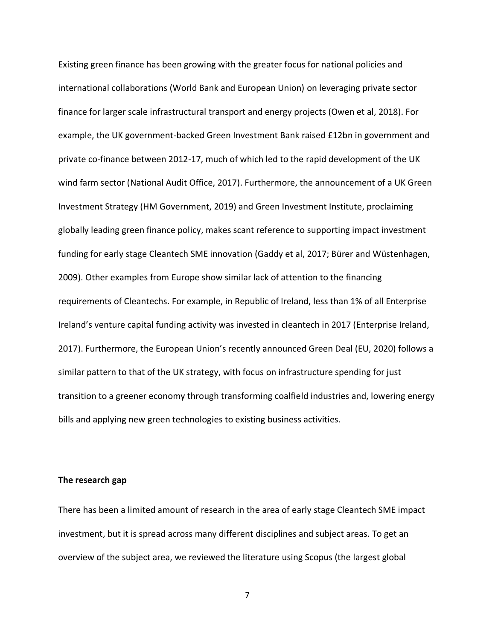Existing green finance has been growing with the greater focus for national policies and international collaborations (World Bank and European Union) on leveraging private sector finance for larger scale infrastructural transport and energy projects (Owen et al, 2018). For example, the UK government-backed Green Investment Bank raised £12bn in government and private co-finance between 2012-17, much of which led to the rapid development of the UK wind farm sector (National Audit Office, 2017). Furthermore, the announcement of a UK Green Investment Strategy (HM Government, 2019) and Green Investment Institute, proclaiming globally leading green finance policy, makes scant reference to supporting impact investment funding for early stage Cleantech SME innovation (Gaddy et al, 2017; Bürer and Wüstenhagen, 2009). Other examples from Europe show similar lack of attention to the financing requirements of Cleantechs. For example, in Republic of Ireland, less than 1% of all Enterprise Ireland's venture capital funding activity was invested in cleantech in 2017 (Enterprise Ireland, 2017). Furthermore, the European Union's recently announced Green Deal (EU, 2020) follows a similar pattern to that of the UK strategy, with focus on infrastructure spending for just transition to a greener economy through transforming coalfield industries and, lowering energy bills and applying new green technologies to existing business activities.

#### **The research gap**

There has been a limited amount of research in the area of early stage Cleantech SME impact investment, but it is spread across many different disciplines and subject areas. To get an overview of the subject area, we reviewed the literature using Scopus (the largest global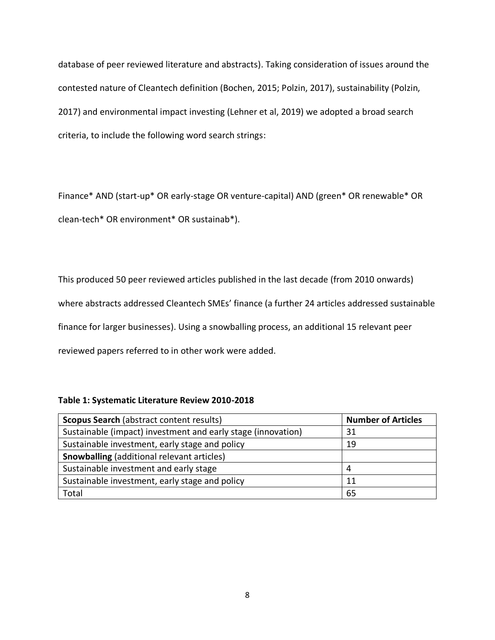database of peer reviewed literature and abstracts). Taking consideration of issues around the contested nature of Cleantech definition (Bochen, 2015; Polzin, 2017), sustainability (Polzin, 2017) and environmental impact investing (Lehner et al, 2019) we adopted a broad search criteria, to include the following word search strings:

Finance\* AND (start-up\* OR early-stage OR venture-capital) AND (green\* OR renewable\* OR clean-tech\* OR environment\* OR sustainab\*).

This produced 50 peer reviewed articles published in the last decade (from 2010 onwards) where abstracts addressed Cleantech SMEs' finance (a further 24 articles addressed sustainable finance for larger businesses). Using a snowballing process, an additional 15 relevant peer reviewed papers referred to in other work were added.

| <b>Scopus Search (abstract content results)</b>              | <b>Number of Articles</b> |
|--------------------------------------------------------------|---------------------------|
| Sustainable (impact) investment and early stage (innovation) | 31                        |
| Sustainable investment, early stage and policy               | 19                        |
| <b>Snowballing</b> (additional relevant articles)            |                           |
| Sustainable investment and early stage                       | 4                         |
| Sustainable investment, early stage and policy               | 11                        |
| Total                                                        | 65                        |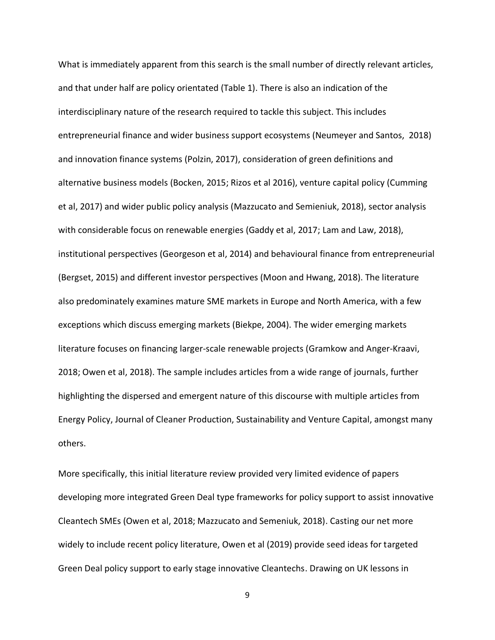What is immediately apparent from this search is the small number of directly relevant articles, and that under half are policy orientated (Table 1). There is also an indication of the interdisciplinary nature of the research required to tackle this subject. This includes entrepreneurial finance and wider business support ecosystems (Neumeyer and Santos, 2018) and innovation finance systems (Polzin, 2017), consideration of green definitions and alternative business models (Bocken, 2015; Rizos et al 2016), venture capital policy (Cumming et al, 2017) and wider public policy analysis (Mazzucato and Semieniuk, 2018), sector analysis with considerable focus on renewable energies (Gaddy et al, 2017; Lam and Law, 2018), institutional perspectives (Georgeson et al, 2014) and behavioural finance from entrepreneurial (Bergset, 2015) and different investor perspectives (Moon and Hwang, 2018). The literature also predominately examines mature SME markets in Europe and North America, with a few exceptions which discuss emerging markets (Biekpe, 2004). The wider emerging markets literature focuses on financing larger-scale renewable projects (Gramkow and Anger-Kraavi, 2018; Owen et al, 2018). The sample includes articles from a wide range of journals, further highlighting the dispersed and emergent nature of this discourse with multiple articles from Energy Policy, Journal of Cleaner Production, Sustainability and Venture Capital, amongst many others.

More specifically, this initial literature review provided very limited evidence of papers developing more integrated Green Deal type frameworks for policy support to assist innovative Cleantech SMEs (Owen et al, 2018; Mazzucato and Semeniuk, 2018). Casting our net more widely to include recent policy literature, Owen et al (2019) provide seed ideas for targeted Green Deal policy support to early stage innovative Cleantechs. Drawing on UK lessons in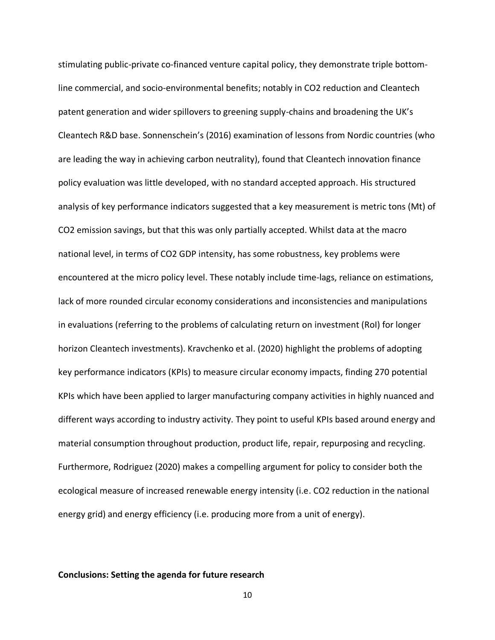stimulating public-private co-financed venture capital policy, they demonstrate triple bottomline commercial, and socio-environmental benefits; notably in CO2 reduction and Cleantech patent generation and wider spillovers to greening supply-chains and broadening the UK's Cleantech R&D base. Sonnenschein's (2016) examination of lessons from Nordic countries (who are leading the way in achieving carbon neutrality), found that Cleantech innovation finance policy evaluation was little developed, with no standard accepted approach. His structured analysis of key performance indicators suggested that a key measurement is metric tons (Mt) of CO2 emission savings, but that this was only partially accepted. Whilst data at the macro national level, in terms of CO2 GDP intensity, has some robustness, key problems were encountered at the micro policy level. These notably include time-lags, reliance on estimations, lack of more rounded circular economy considerations and inconsistencies and manipulations in evaluations (referring to the problems of calculating return on investment (RoI) for longer horizon Cleantech investments). Kravchenko et al. (2020) highlight the problems of adopting key performance indicators (KPIs) to measure circular economy impacts, finding 270 potential KPIs which have been applied to larger manufacturing company activities in highly nuanced and different ways according to industry activity. They point to useful KPIs based around energy and material consumption throughout production, product life, repair, repurposing and recycling. Furthermore, Rodriguez (2020) makes a compelling argument for policy to consider both the ecological measure of increased renewable energy intensity (i.e. CO2 reduction in the national energy grid) and energy efficiency (i.e. producing more from a unit of energy).

### **Conclusions: Setting the agenda for future research**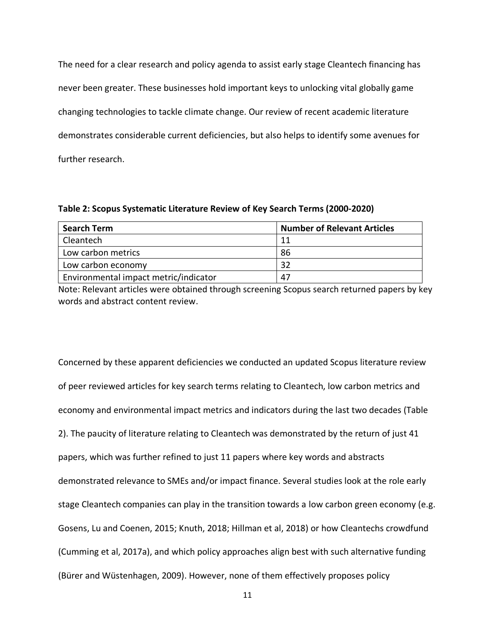The need for a clear research and policy agenda to assist early stage Cleantech financing has never been greater. These businesses hold important keys to unlocking vital globally game changing technologies to tackle climate change. Our review of recent academic literature demonstrates considerable current deficiencies, but also helps to identify some avenues for further research.

**Table 2: Scopus Systematic Literature Review of Key Search Terms (2000-2020)**

| <b>Search Term</b>                    | <b>Number of Relevant Articles</b> |
|---------------------------------------|------------------------------------|
| Cleantech                             | 11                                 |
| Low carbon metrics                    | 86                                 |
| Low carbon economy                    | 32                                 |
| Environmental impact metric/indicator | 47                                 |

Note: Relevant articles were obtained through screening Scopus search returned papers by key words and abstract content review.

Concerned by these apparent deficiencies we conducted an updated Scopus literature review of peer reviewed articles for key search terms relating to Cleantech, low carbon metrics and economy and environmental impact metrics and indicators during the last two decades (Table 2). The paucity of literature relating to Cleantech was demonstrated by the return of just 41 papers, which was further refined to just 11 papers where key words and abstracts demonstrated relevance to SMEs and/or impact finance. Several studies look at the role early stage Cleantech companies can play in the transition towards a low carbon green economy (e.g. Gosens, Lu and Coenen, 2015; Knuth, 2018; Hillman et al, 2018) or how Cleantechs crowdfund (Cumming et al, 2017a), and which policy approaches align best with such alternative funding (Bürer and Wüstenhagen, 2009). However, none of them effectively proposes policy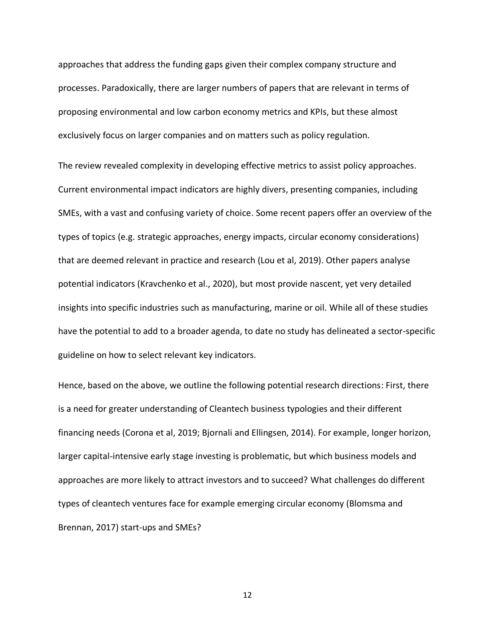approaches that address the funding gaps given their complex company structure and processes. Paradoxically, there are larger numbers of papers that are relevant in terms of proposing environmental and low carbon economy metrics and KPIs, but these almost exclusively focus on larger companies and on matters such as policy regulation.

The review revealed complexity in developing effective metrics to assist policy approaches. Current environmental impact indicators are highly divers, presenting companies, including SMEs, with a vast and confusing variety of choice. Some recent papers offer an overview of the types of topics (e.g. strategic approaches, energy impacts, circular economy considerations) that are deemed relevant in practice and research (Lou et al, 2019). Other papers analyse potential indicators (Kravchenko et al., 2020), but most provide nascent, yet very detailed insights into specific industries such as manufacturing, marine or oil. While all of these studies have the potential to add to a broader agenda, to date no study has delineated a sector-specific guideline on how to select relevant key indicators.

Hence, based on the above, we outline the following potential research directions: First, there is a need for greater understanding of Cleantech business typologies and their different financing needs (Corona et al, 2019; Bjornali and Ellingsen, 2014). For example, longer horizon, larger capital-intensive early stage investing is problematic, but which business models and approaches are more likely to attract investors and to succeed? What challenges do different types of cleantech ventures face for example emerging circular economy (Blomsma and Brennan, 2017) start-ups and SMEs?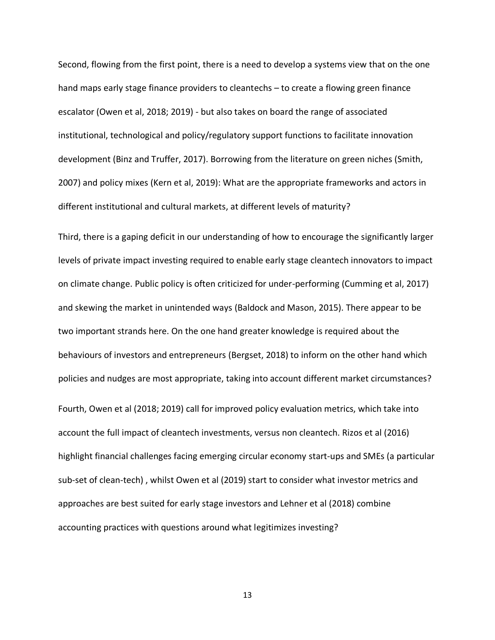Second, flowing from the first point, there is a need to develop a systems view that on the one hand maps early stage finance providers to cleantechs – to create a flowing green finance escalator (Owen et al, 2018; 2019) - but also takes on board the range of associated institutional, technological and policy/regulatory support functions to facilitate innovation development (Binz and Truffer, 2017). Borrowing from the literature on green niches (Smith, 2007) and policy mixes (Kern et al, 2019): What are the appropriate frameworks and actors in different institutional and cultural markets, at different levels of maturity?

Third, there is a gaping deficit in our understanding of how to encourage the significantly larger levels of private impact investing required to enable early stage cleantech innovators to impact on climate change. Public policy is often criticized for under-performing (Cumming et al, 2017) and skewing the market in unintended ways (Baldock and Mason, 2015). There appear to be two important strands here. On the one hand greater knowledge is required about the behaviours of investors and entrepreneurs (Bergset, 2018) to inform on the other hand which policies and nudges are most appropriate, taking into account different market circumstances? Fourth, Owen et al (2018; 2019) call for improved policy evaluation metrics, which take into account the full impact of cleantech investments, versus non cleantech. Rizos et al (2016) highlight financial challenges facing emerging circular economy start-ups and SMEs (a particular sub-set of clean-tech) , whilst Owen et al (2019) start to consider what investor metrics and approaches are best suited for early stage investors and Lehner et al (2018) combine accounting practices with questions around what legitimizes investing?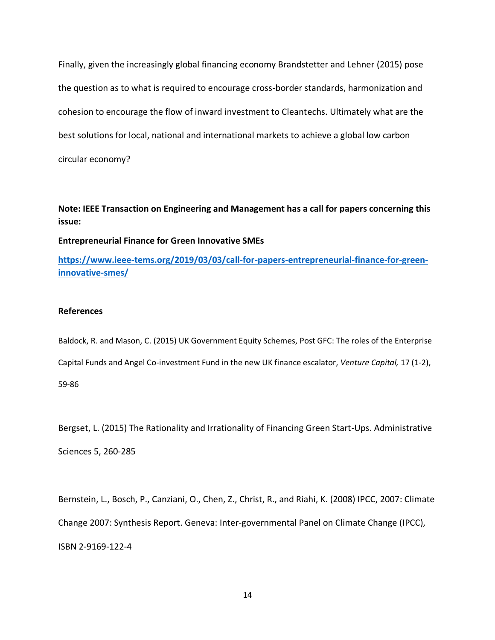Finally, given the increasingly global financing economy Brandstetter and Lehner (2015) pose the question as to what is required to encourage cross-border standards, harmonization and cohesion to encourage the flow of inward investment to Cleantechs. Ultimately what are the best solutions for local, national and international markets to achieve a global low carbon circular economy?

## **Note: IEEE Transaction on Engineering and Management has a call for papers concerning this issue:**

## **Entrepreneurial Finance for Green Innovative SMEs**

**[https://www.ieee-tems.org/2019/03/03/call-for-papers-entrepreneurial-finance-for-green](https://www.ieee-tems.org/2019/03/03/call-for-papers-entrepreneurial-finance-for-green-innovative-smes/)[innovative-smes/](https://www.ieee-tems.org/2019/03/03/call-for-papers-entrepreneurial-finance-for-green-innovative-smes/)**

## **References**

Baldock, R. and Mason, C. (2015) UK Government Equity Schemes, Post GFC: The roles of the Enterprise Capital Funds and Angel Co-investment Fund in the new UK finance escalator, *Venture Capital,* 17 (1-2), 59-86

Bergset, L. (2015) The Rationality and Irrationality of Financing Green Start-Ups. Administrative Sciences 5, 260-285

Bernstein, L., Bosch, P., Canziani, O., Chen, Z., Christ, R., and [Riahi,](http://pure.iiasa.ac.at/view/iiasa/250.html) K. (2008) IPCC, 2007: Climate Change 2007: Synthesis Report. Geneva: Inter-governmental Panel on Climate Change (IPCC), ISBN 2-9169-122-4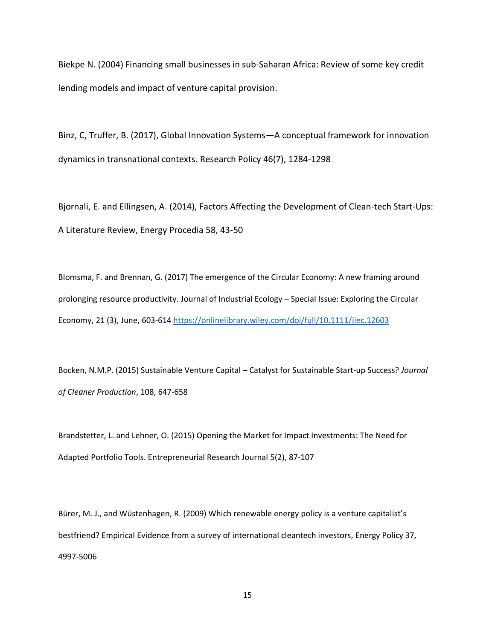Biekpe N. (2004) Financing small businesses in sub-Saharan Africa: Review of some key credit lending models and impact of venture capital provision.

Binz, C, Truffer, B. (2017), Global Innovation Systems—A conceptual framework for innovation dynamics in transnational contexts. Research Policy 46(7), 1284-1298

Bjornali, E. and Ellingsen, A. (2014), Factors Affecting the Development of Clean-tech Start-Ups: A Literature Review, Energy Procedia 58, 43-50

Blomsma, F. and Brennan, G. (2017) The emergence of the Circular Economy: A new framing around prolonging resource productivity. Journal of Industrial Ecology – Special Issue: Exploring the Circular Economy, 21 (3), June, 603-61[4 https://onlinelibrary.wiley.com/doi/full/10.1111/jiec.12603](https://onlinelibrary.wiley.com/doi/full/10.1111/jiec.12603)

Bocken, N.M.P. (2015) Sustainable Venture Capital – Catalyst for Sustainable Start-up Success? *Journal of Cleaner Production*, 108, 647-658

Brandstetter, L. and Lehner, O. (2015) Opening the Market for Impact Investments: The Need for Adapted Portfolio Tools. Entrepreneurial Research Journal 5(2), 87-107

Bürer, M. J., and Wüstenhagen, R. (2009) Which renewable energy policy is a venture capitalist's bestfriend? Empirical Evidence from a survey of international cleantech investors, Energy Policy 37, 4997-5006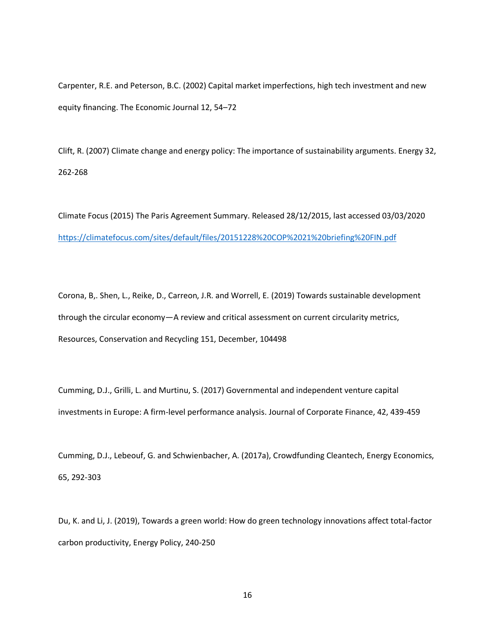Carpenter, R.E. and Peterson, B.C. (2002) Capital market imperfections, high tech investment and new equity financing. The Economic Journal 12, 54–72

Clift, R. (2007) Climate change and energy policy: The importance of sustainability arguments. Energy 32, 262-268

Climate Focus (2015) The Paris Agreement Summary. Released 28/12/2015, last accessed 03/03/2020 <https://climatefocus.com/sites/default/files/20151228%20COP%2021%20briefing%20FIN.pdf>

Corona, B,. Shen, L., Reike, D., Carreon, J.R. and Worrell, E. (2019) Towards sustainable development through the circular economy—A review and critical assessment on current circularity metrics, Resources, Conservation and Recycling 151, December, 104498

Cumming, D.J., Grilli, L. and Murtinu, S. (2017) Governmental and independent venture capital investments in Europe: A firm-level performance analysis. Journal of Corporate Finance, 42, 439-459

Cumming, D.J., Lebeouf, G. and Schwienbacher, A. (2017a), Crowdfunding Cleantech, Energy Economics, 65, 292-303

Du, K. and Li, J. (2019), Towards a green world: How do green technology innovations affect total-factor carbon productivity, Energy Policy, 240-250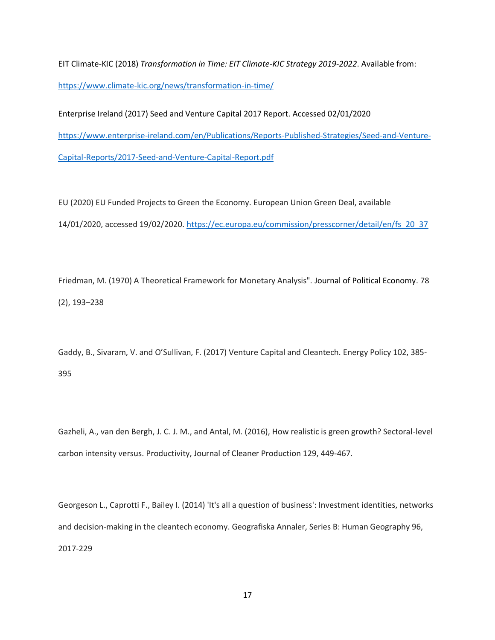EIT Climate-KIC (2018) *Transformation in Time: EIT Climate-KIC Strategy 2019-2022*. Available from: <https://www.climate-kic.org/news/transformation-in-time/>

Enterprise Ireland (2017) Seed and Venture Capital 2017 Report. Accessed 02/01/2020 [https://www.enterprise-ireland.com/en/Publications/Reports-Published-Strategies/Seed-and-Venture-](https://www.enterprise-ireland.com/en/Publications/Reports-Published-Strategies/Seed-and-Venture-Capital-Reports/2017-Seed-and-Venture-Capital-Report.pdf)[Capital-Reports/2017-Seed-and-Venture-Capital-Report.pdf](https://www.enterprise-ireland.com/en/Publications/Reports-Published-Strategies/Seed-and-Venture-Capital-Reports/2017-Seed-and-Venture-Capital-Report.pdf)

EU (2020) EU Funded Projects to Green the Economy. European Union Green Deal, available 14/01/2020, accessed 19/02/2020. [https://ec.europa.eu/commission/presscorner/detail/en/fs\\_20\\_37](https://ec.europa.eu/commission/presscorner/detail/en/fs_20_37)

Friedman, M. (1970) A Theoretical Framework for Monetary Analysis". [Journal of Political Economy.](https://en.wikipedia.org/wiki/Journal_of_Political_Economy) 78 (2), 193–238

Gaddy, B., Sivaram, V. and O'Sullivan, F. (2017) Venture Capital and Cleantech. Energy Policy 102, 385- 395

Gazheli, A., van den Bergh, J. C. J. M., and Antal, M. (2016), How realistic is green growth? Sectoral-level carbon intensity versus. Productivity, Journal of Cleaner Production 129, 449-467.

Georgeson L., Caprotti F., Bailey I. (2014) 'It's all a question of business': Investment identities, networks and decision-making in the cleantech economy. Geografiska Annaler, Series B: Human Geography 96, 2017-229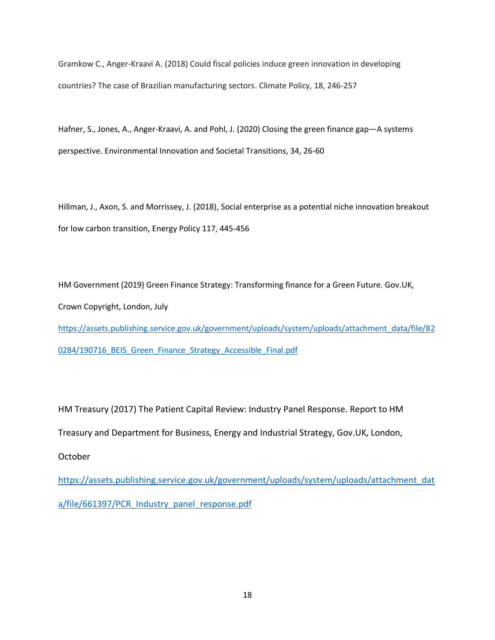Gramkow C., Anger-Kraavi A. (2018) Could fiscal policies induce green innovation in developing countries? The case of Brazilian manufacturing sectors. Climate Policy, 18, 246-257

Hafner, S., Jones, A., Anger-Kraavi, A. and Pohl, J. (2020) [Closing the green finance gap](https://www.sciencedirect.com/science/article/pii/S2210422419302849?dgcid=author)—A systems [perspective.](https://www.sciencedirect.com/science/article/pii/S2210422419302849?dgcid=author) Environmental Innovation and Societal Transitions, 34, 26-60

Hillman, J., Axon, S. and Morrissey, J. (2018), Social enterprise as a potential niche innovation breakout for low carbon transition, Energy Policy 117, 445-456

HM Government (2019) Green Finance Strategy: Transforming finance for a Green Future. Gov.UK, Crown Copyright, London, July [https://assets.publishing.service.gov.uk/government/uploads/system/uploads/attachment\\_data/file/82](https://assets.publishing.service.gov.uk/government/uploads/system/uploads/attachment_data/file/820284/190716_BEIS_Green_Finance_Strategy_Accessible_Final.pdf) 0284/190716 BEIS Green Finance Strategy Accessible Final.pdf

HM Treasury (2017) The Patient Capital Review: Industry Panel Response. Report to HM Treasury and Department for Business, Energy and Industrial Strategy, Gov.UK, London, October

[https://assets.publishing.service.gov.uk/government/uploads/system/uploads/attachment\\_dat](https://assets.publishing.service.gov.uk/government/uploads/system/uploads/attachment_data/file/661397/PCR_Industry_panel_response.pdf) [a/file/661397/PCR\\_Industry\\_panel\\_response.pdf](https://assets.publishing.service.gov.uk/government/uploads/system/uploads/attachment_data/file/661397/PCR_Industry_panel_response.pdf)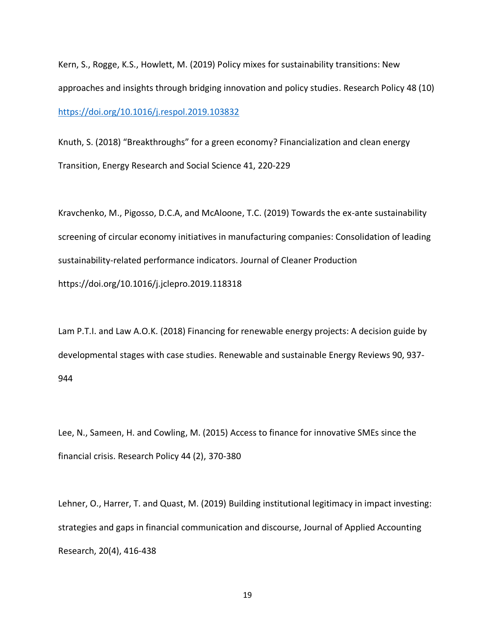Kern, S., Rogge, K.S., Howlett, M. (2019) Policy mixes for sustainability transitions: New approaches and insights through bridging innovation and policy studies. Research Policy 48 (10) <https://doi.org/10.1016/j.respol.2019.103832>

Knuth, S. (2018) "Breakthroughs" for a green economy? Financialization and clean energy Transition, Energy Research and Social Science 41, 220-229

Kravchenko, M., Pigosso, D.C.A, and McAloone, T.C. (2019) Towards the ex-ante sustainability screening of circular economy initiatives in manufacturing companies: Consolidation of leading sustainability-related performance indicators. Journal of Cleaner Production <https://doi.org/10.1016/j.jclepro.2019.118318>

Lam P.T.I. and Law A.O.K. (2018) Financing for renewable energy projects: A decision guide by developmental stages with case studies. Renewable and sustainable Energy Reviews 90, 937- 944

Lee, N., Sameen, H. and Cowling, M. (2015) Access to finance for innovative SMEs since the financial crisis. Research Policy 44 (2), 370-380

Lehner, O., Harrer, T. and Quast, M. (2019) Building institutional legitimacy in impact investing: strategies and gaps in financial communication and discourse, Journal of Applied Accounting Research, 20(4), 416-438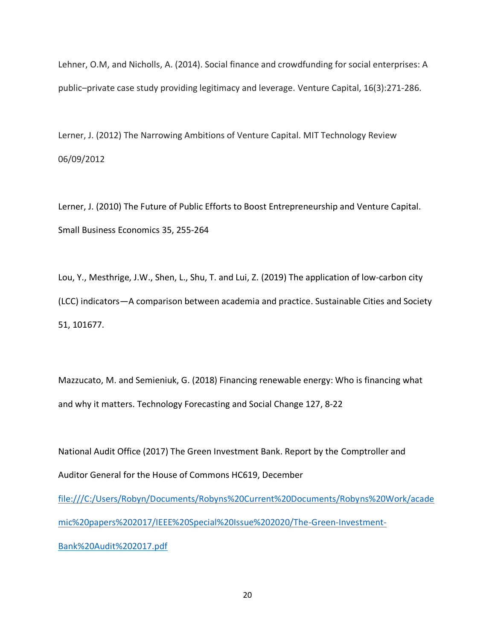Lehner, O.M, and Nicholls, A. (2014). Social finance and crowdfunding for social enterprises: A public–private case study providing legitimacy and leverage. Venture Capital, 16(3):271-286.

Lerner, J. (2012) The Narrowing Ambitions of Venture Capital. MIT Technology Review 06/09/2012

Lerner, J. (2010) The Future of Public Efforts to Boost Entrepreneurship and Venture Capital. Small Business Economics 35, 255-264

Lou, Y., Mesthrige, J.W., Shen, L., Shu, T. and Lui, Z. (2019) The application of low-carbon city (LCC) indicators—A comparison between academia and practice. Sustainable Cities and Society 51, 101677.

Mazzucato, M. and Semieniuk, G. (2018) Financing renewable energy: Who is financing what and why it matters. Technology Forecasting and Social Change 127, 8-22

National Audit Office (2017) The Green Investment Bank. Report by the Comptroller and Auditor General for the House of Commons HC619, December [file:///C:/Users/Robyn/Documents/Robyns%20Current%20Documents/Robyns%20Work/acade](file:///C:/Users/Robyn/Documents/Robyns%20Current%20Documents/Robyns%20Work/academic%20papers%202017/IEEE%20Special%20Issue%202020/The-Green-Investment-Bank%20Audit%202017.pdf) [mic%20papers%202017/IEEE%20Special%20Issue%202020/The-Green-Investment-](file:///C:/Users/Robyn/Documents/Robyns%20Current%20Documents/Robyns%20Work/academic%20papers%202017/IEEE%20Special%20Issue%202020/The-Green-Investment-Bank%20Audit%202017.pdf)[Bank%20Audit%202017.pdf](file:///C:/Users/Robyn/Documents/Robyns%20Current%20Documents/Robyns%20Work/academic%20papers%202017/IEEE%20Special%20Issue%202020/The-Green-Investment-Bank%20Audit%202017.pdf)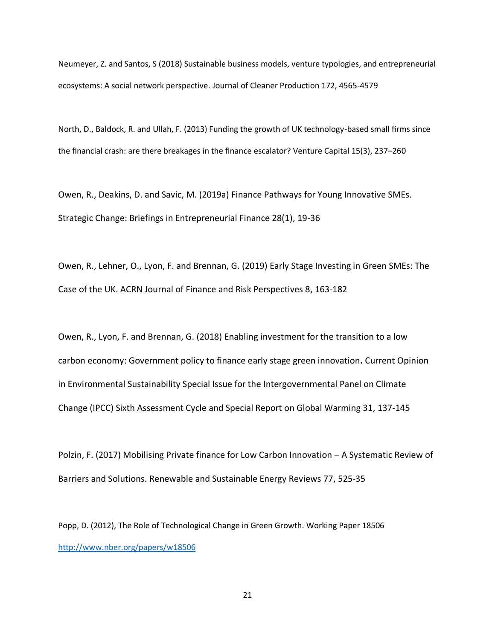Neumeyer, Z. and Santos, S (2018) Sustainable business models, venture typologies, and entrepreneurial ecosystems: A social network perspective. Journal of Cleaner Production 172, 4565-4579

North, D., Baldock, R. and Ullah, F. (2013) Funding the growth of UK technology-based small firms since the financial crash: are there breakages in the finance escalator? Venture Capital 15(3), 237–260

Owen, R., Deakins, D. and Savic, M. (2019a) Finance Pathways for Young Innovative SMEs. Strategic Change: Briefings in Entrepreneurial Finance 28(1), 19-36

Owen, R., Lehner, O., Lyon, F. and Brennan, G. (2019) Early Stage Investing in Green SMEs: The Case of the UK. ACRN Journal of Finance and Risk Perspectives 8, 163-182

Owen, R., Lyon, F. and Brennan, G. (2018) Enabling investment for the transition to a low carbon economy: Government policy to finance early stage green innovation**.** Current Opinion in Environmental Sustainability Special Issue for the Intergovernmental Panel on Climate Change (IPCC) Sixth Assessment Cycle and Special Report on Global Warming 31, 137-145

Polzin, F. (2017) Mobilising Private finance for Low Carbon Innovation – A Systematic Review of Barriers and Solutions. Renewable and Sustainable Energy Reviews 77, 525-35

Popp, D. (2012), The Role of Technological Change in Green Growth. Working Paper 18506 <http://www.nber.org/papers/w18506>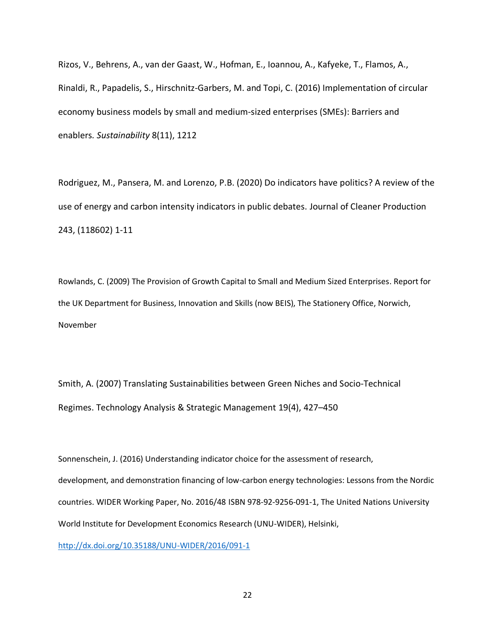Rizos, V., Behrens, A., van der Gaast, W., Hofman, E., Ioannou, A., Kafyeke, T., Flamos, A., Rinaldi, R., Papadelis, S., Hirschnitz-Garbers, M. and Topi, C. (2016) Implementation of circular economy business models by small and medium-sized enterprises (SMEs): Barriers and enablers*. Sustainability* 8(11), 1212

Rodriguez, M., Pansera, M. and Lorenzo, P.B. (2020) Do indicators have politics? A review of the use of energy and carbon intensity indicators in public debates. Journal of Cleaner Production 243, (118602) 1-11

Rowlands, C. (2009) The Provision of Growth Capital to Small and Medium Sized Enterprises. Report for the UK Department for Business, Innovation and Skills (now BEIS), The Stationery Office, Norwich, November

Smith, A. (2007) Translating Sustainabilities between Green Niches and Socio-Technical Regimes. Technology Analysis & Strategic Management 19(4), 427–450

Sonnenschein, J. (2016) Understanding indicator choice for the assessment of research, development, and demonstration financing of low-carbon energy technologies: Lessons from the Nordic countries. WIDER Working Paper, No. 2016/48 ISBN 978-92-9256-091-1, The United Nations University World Institute for Development Economics Research (UNU-WIDER), Helsinki, <http://dx.doi.org/10.35188/UNU-WIDER/2016/091-1>